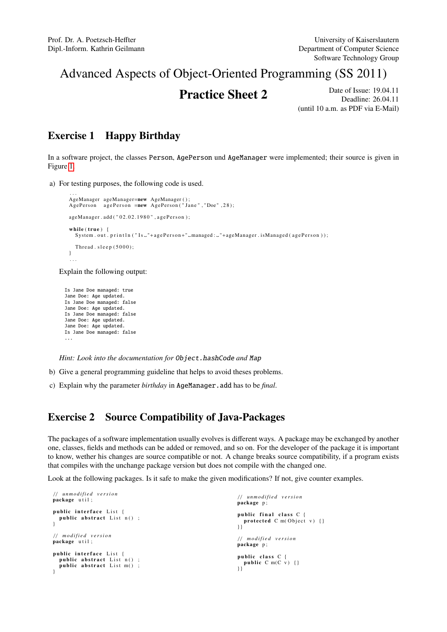## Advanced Aspects of Object-Oriented Programming (SS 2011)

**Practice Sheet 2** Date of Issue: 19.04.11 Deadline: 26.04.11 (until 10 a.m. as PDF via E-Mail)

## Exercise 1 Happy Birthday

In a software project, the classes Person, AgePerson und AgeManager were implemented; their source is given in Figure [1.](#page-1-0)

a) For testing purposes, the following code is used.

```
...<br>AgeManager ageManager=new AgeManager();
AgePerson agePerson =new AgePerson ("Jane", "Doe", 28);
ageManager.add ("02.02.1980", agePerson);
while (true)System.out.println("Is_"+agePerson+"_managed:_"+ageManager.isManaged(agePerson));
  Thread. sleep (5000);
}
. . .
```
Explain the following output:

```
Is Jane Doe managed: true
Jane Doe: Age updated.
Is Jane Doe managed: false
Jane Doe: Age updated.
Is Jane Doe managed: false
Jane Doe: Age updated.
Jane Doe: Age updated.
Is Jane Doe managed: false
...
```
*Hint: Look into the documentation for* Object.hashCode *and* Map

- b) Give a general programming guideline that helps to avoid theses problems.
- c) Explain why the parameter *birthday* in AgeManager.add has to be *final*.

## Exercise 2 Source Compatibility of Java-Packages

The packages of a software implementation usually evolves is different ways. A package may be exchanged by another one, classes, fields and methods can be added or removed, and so on. For the developer of the package it is important to know, wether his changes are source compatible or not. A change breaks source compatibility, if a program exists that compiles with the unchange package version but does not compile with the changed one.

Look at the following packages. Is it safe to make the given modifications? If not, give counter examples.

```
/ / u n m o difi e d v e r s i o n
package util:
public interface List {
  public abstract List n();
}
/ / m o d i f i e d v e r s i o n
package util;
public interface List {
   public abstract List n() ;<br>public abstract List m() ;
}
                                                                                           / / u n m o difi e d v e r s i o n
                                                                                           package p;
                                                                                           public final class C {<br>protected C m(Object v) {}<br>}}
                                                                                           / / m o d i f i e d v e r s i o n
                                                                                           package p;
                                                                                           public class C {<br>public C m(C v) {}<br>}}
```